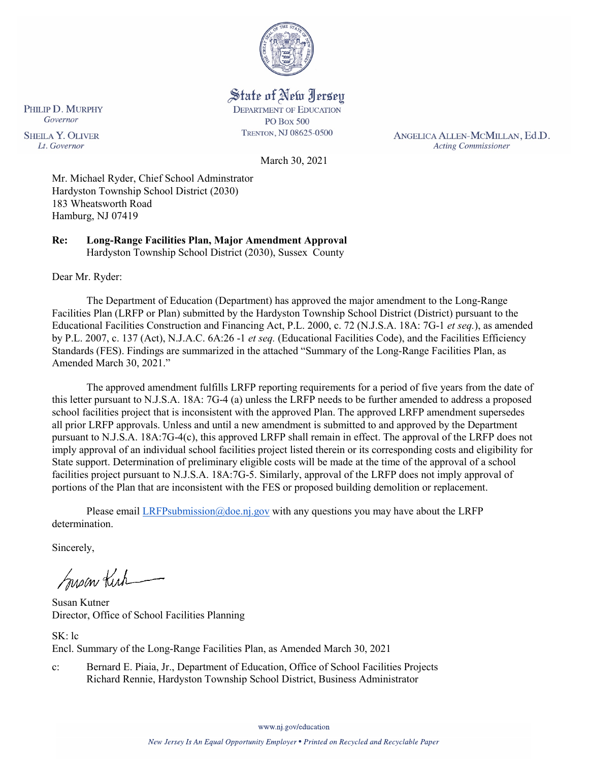

State of New Jersey **DEPARTMENT OF EDUCATION** 

**PO Box 500** TRENTON, NJ 08625-0500

ANGELICA ALLEN-MCMILLAN, Ed.D. **Acting Commissioner** 

PHILIP D. MURPHY Governor **SHEILA Y. OLIVER** Lt. Governor

March 30, 2021

Mr. Michael Ryder, Chief School Adminstrator Hardyston Township School District (2030) 183 Wheatsworth Road Hamburg, NJ 07419

**Re: Long-Range Facilities Plan, Major Amendment Approval**  Hardyston Township School District (2030), Sussex County

Dear Mr. Ryder:

The Department of Education (Department) has approved the major amendment to the Long-Range Facilities Plan (LRFP or Plan) submitted by the Hardyston Township School District (District) pursuant to the Educational Facilities Construction and Financing Act, P.L. 2000, c. 72 (N.J.S.A. 18A: 7G-1 *et seq.*), as amended by P.L. 2007, c. 137 (Act), N.J.A.C. 6A:26 -1 *et seq.* (Educational Facilities Code), and the Facilities Efficiency Standards (FES). Findings are summarized in the attached "Summary of the Long-Range Facilities Plan, as Amended March 30, 2021."

The approved amendment fulfills LRFP reporting requirements for a period of five years from the date of this letter pursuant to N.J.S.A. 18A: 7G-4 (a) unless the LRFP needs to be further amended to address a proposed school facilities project that is inconsistent with the approved Plan. The approved LRFP amendment supersedes all prior LRFP approvals. Unless and until a new amendment is submitted to and approved by the Department pursuant to N.J.S.A. 18A:7G-4(c), this approved LRFP shall remain in effect. The approval of the LRFP does not imply approval of an individual school facilities project listed therein or its corresponding costs and eligibility for State support. Determination of preliminary eligible costs will be made at the time of the approval of a school facilities project pursuant to N.J.S.A. 18A:7G-5. Similarly, approval of the LRFP does not imply approval of portions of the Plan that are inconsistent with the FES or proposed building demolition or replacement.

Please email [LRFPsubmission@doe.nj.gov](mailto:LRFPsubmission@doe.nj.gov) with any questions you may have about the LRFP determination.

Sincerely,

Susan Kich

Susan Kutner Director, Office of School Facilities Planning

SK: lc Encl. Summary of the Long-Range Facilities Plan, as Amended March 30, 2021

c: Bernard E. Piaia, Jr., Department of Education, Office of School Facilities Projects Richard Rennie, Hardyston Township School District, Business Administrator

www.nj.gov/education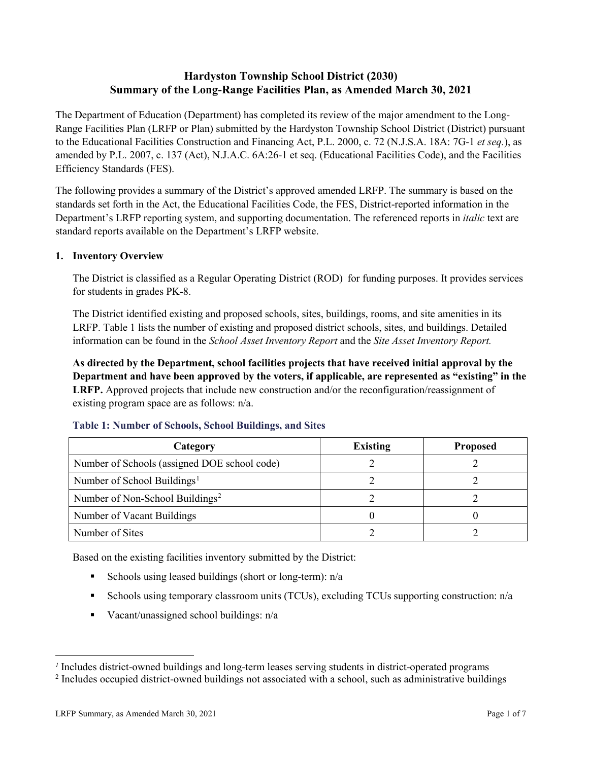# **Hardyston Township School District (2030) Summary of the Long-Range Facilities Plan, as Amended March 30, 2021**

The Department of Education (Department) has completed its review of the major amendment to the Long-Range Facilities Plan (LRFP or Plan) submitted by the Hardyston Township School District (District) pursuant to the Educational Facilities Construction and Financing Act, P.L. 2000, c. 72 (N.J.S.A. 18A: 7G-1 *et seq.*), as amended by P.L. 2007, c. 137 (Act), N.J.A.C. 6A:26-1 et seq. (Educational Facilities Code), and the Facilities Efficiency Standards (FES).

The following provides a summary of the District's approved amended LRFP. The summary is based on the standards set forth in the Act, the Educational Facilities Code, the FES, District-reported information in the Department's LRFP reporting system, and supporting documentation. The referenced reports in *italic* text are standard reports available on the Department's LRFP website.

### **1. Inventory Overview**

The District is classified as a Regular Operating District (ROD) for funding purposes. It provides services for students in grades PK-8.

The District identified existing and proposed schools, sites, buildings, rooms, and site amenities in its LRFP. Table 1 lists the number of existing and proposed district schools, sites, and buildings. Detailed information can be found in the *School Asset Inventory Report* and the *Site Asset Inventory Report.*

**As directed by the Department, school facilities projects that have received initial approval by the Department and have been approved by the voters, if applicable, are represented as "existing" in the LRFP.** Approved projects that include new construction and/or the reconfiguration/reassignment of existing program space are as follows: n/a.

| Category                                     | <b>Existing</b> | <b>Proposed</b> |
|----------------------------------------------|-----------------|-----------------|
| Number of Schools (assigned DOE school code) |                 |                 |
| Number of School Buildings <sup>1</sup>      |                 |                 |
| Number of Non-School Buildings <sup>2</sup>  |                 |                 |
| Number of Vacant Buildings                   |                 |                 |
| Number of Sites                              |                 |                 |

### **Table 1: Number of Schools, School Buildings, and Sites**

Based on the existing facilities inventory submitted by the District:

- Schools using leased buildings (short or long-term):  $n/a$
- Schools using temporary classroom units (TCUs), excluding TCUs supporting construction: n/a
- Vacant/unassigned school buildings:  $n/a$

 $\overline{a}$ 

<span id="page-1-1"></span><span id="page-1-0"></span>*<sup>1</sup>* Includes district-owned buildings and long-term leases serving students in district-operated programs

<sup>&</sup>lt;sup>2</sup> Includes occupied district-owned buildings not associated with a school, such as administrative buildings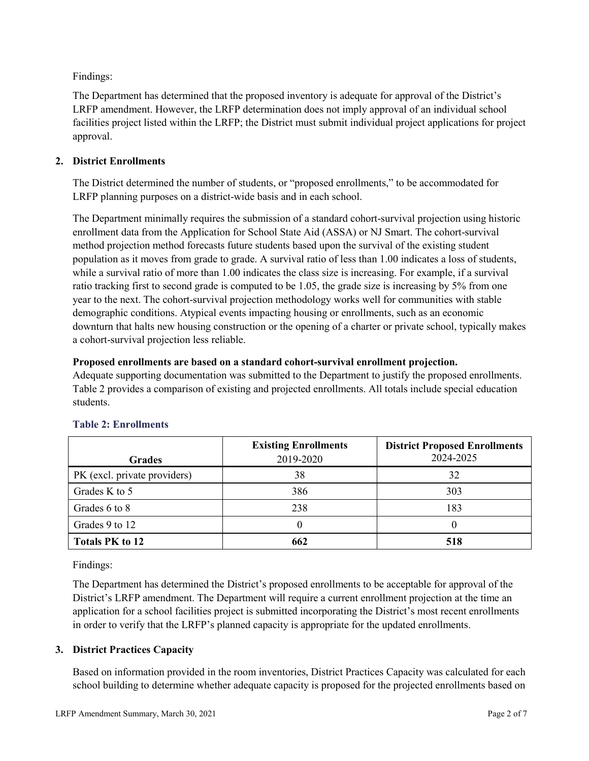Findings:

The Department has determined that the proposed inventory is adequate for approval of the District's LRFP amendment. However, the LRFP determination does not imply approval of an individual school facilities project listed within the LRFP; the District must submit individual project applications for project approval.

# **2. District Enrollments**

The District determined the number of students, or "proposed enrollments," to be accommodated for LRFP planning purposes on a district-wide basis and in each school.

The Department minimally requires the submission of a standard cohort-survival projection using historic enrollment data from the Application for School State Aid (ASSA) or NJ Smart. The cohort-survival method projection method forecasts future students based upon the survival of the existing student population as it moves from grade to grade. A survival ratio of less than 1.00 indicates a loss of students, while a survival ratio of more than 1.00 indicates the class size is increasing. For example, if a survival ratio tracking first to second grade is computed to be 1.05, the grade size is increasing by 5% from one year to the next. The cohort-survival projection methodology works well for communities with stable demographic conditions. Atypical events impacting housing or enrollments, such as an economic downturn that halts new housing construction or the opening of a charter or private school, typically makes a cohort-survival projection less reliable.

### **Proposed enrollments are based on a standard cohort-survival enrollment projection.**

Adequate supporting documentation was submitted to the Department to justify the proposed enrollments. Table 2 provides a comparison of existing and projected enrollments. All totals include special education students.

|                              | <b>Existing Enrollments</b> | <b>District Proposed Enrollments</b> |
|------------------------------|-----------------------------|--------------------------------------|
| <b>Grades</b>                | 2019-2020                   | 2024-2025                            |
| PK (excl. private providers) | 38                          | 32                                   |
| Grades K to 5                | 386                         | 303                                  |
| Grades 6 to 8                | 238                         | 183                                  |
| Grades 9 to 12               |                             |                                      |
| <b>Totals PK to 12</b>       | 662                         | 518                                  |

# **Table 2: Enrollments**

Findings:

The Department has determined the District's proposed enrollments to be acceptable for approval of the District's LRFP amendment. The Department will require a current enrollment projection at the time an application for a school facilities project is submitted incorporating the District's most recent enrollments in order to verify that the LRFP's planned capacity is appropriate for the updated enrollments.

# **3. District Practices Capacity**

Based on information provided in the room inventories, District Practices Capacity was calculated for each school building to determine whether adequate capacity is proposed for the projected enrollments based on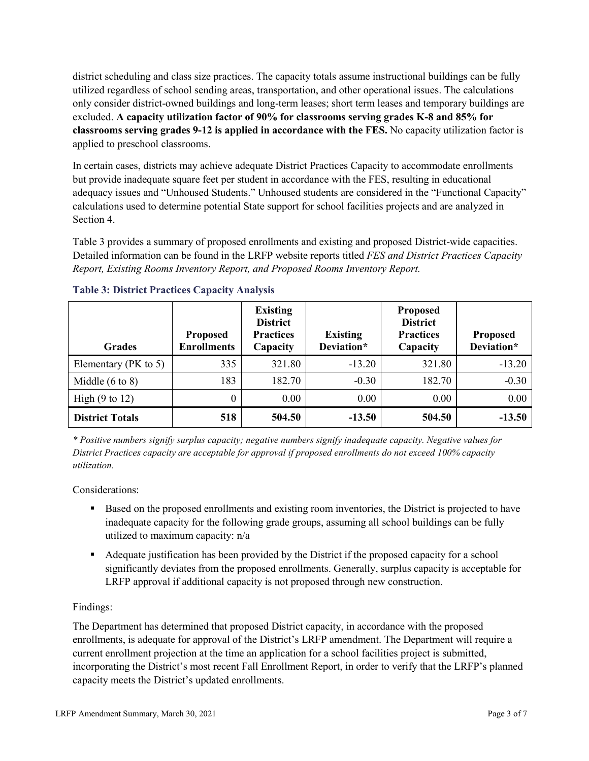district scheduling and class size practices. The capacity totals assume instructional buildings can be fully utilized regardless of school sending areas, transportation, and other operational issues. The calculations only consider district-owned buildings and long-term leases; short term leases and temporary buildings are excluded. **A capacity utilization factor of 90% for classrooms serving grades K-8 and 85% for classrooms serving grades 9-12 is applied in accordance with the FES.** No capacity utilization factor is applied to preschool classrooms.

In certain cases, districts may achieve adequate District Practices Capacity to accommodate enrollments but provide inadequate square feet per student in accordance with the FES, resulting in educational adequacy issues and "Unhoused Students." Unhoused students are considered in the "Functional Capacity" calculations used to determine potential State support for school facilities projects and are analyzed in Section 4.

Table 3 provides a summary of proposed enrollments and existing and proposed District-wide capacities. Detailed information can be found in the LRFP website reports titled *FES and District Practices Capacity Report, Existing Rooms Inventory Report, and Proposed Rooms Inventory Report.*

| <b>Grades</b>              | <b>Proposed</b><br><b>Enrollments</b> | <b>Existing</b><br><b>District</b><br><b>Practices</b><br>Capacity | <b>Existing</b><br>Deviation* | <b>Proposed</b><br><b>District</b><br><b>Practices</b><br>Capacity | <b>Proposed</b><br>Deviation* |
|----------------------------|---------------------------------------|--------------------------------------------------------------------|-------------------------------|--------------------------------------------------------------------|-------------------------------|
| Elementary ( $PK$ to 5)    | 335                                   | 321.80                                                             | $-13.20$                      | 321.80                                                             | $-13.20$                      |
| Middle $(6 \text{ to } 8)$ | 183                                   | 182.70                                                             | $-0.30$                       | 182.70                                                             | $-0.30$                       |
| High $(9 \text{ to } 12)$  | 0                                     | 0.00                                                               | 0.00                          | 0.00                                                               | 0.00                          |
| <b>District Totals</b>     | 518                                   | 504.50                                                             | $-13.50$                      | 504.50                                                             | $-13.50$                      |

# **Table 3: District Practices Capacity Analysis**

*\* Positive numbers signify surplus capacity; negative numbers signify inadequate capacity. Negative values for District Practices capacity are acceptable for approval if proposed enrollments do not exceed 100% capacity utilization.*

Considerations:

- Based on the proposed enrollments and existing room inventories, the District is projected to have inadequate capacity for the following grade groups, assuming all school buildings can be fully utilized to maximum capacity: n/a
- Adequate justification has been provided by the District if the proposed capacity for a school significantly deviates from the proposed enrollments. Generally, surplus capacity is acceptable for LRFP approval if additional capacity is not proposed through new construction.

# Findings:

The Department has determined that proposed District capacity, in accordance with the proposed enrollments, is adequate for approval of the District's LRFP amendment. The Department will require a current enrollment projection at the time an application for a school facilities project is submitted, incorporating the District's most recent Fall Enrollment Report, in order to verify that the LRFP's planned capacity meets the District's updated enrollments.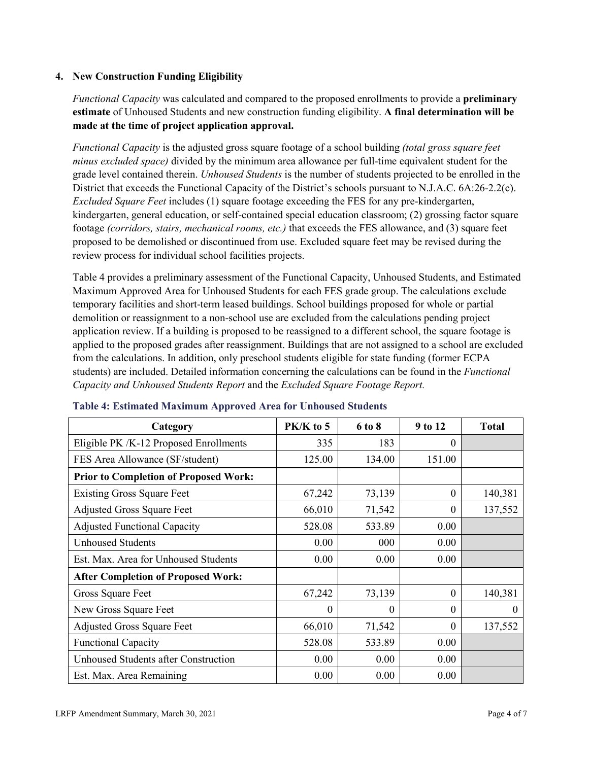### **4. New Construction Funding Eligibility**

*Functional Capacity* was calculated and compared to the proposed enrollments to provide a **preliminary estimate** of Unhoused Students and new construction funding eligibility. **A final determination will be made at the time of project application approval.**

*Functional Capacity* is the adjusted gross square footage of a school building *(total gross square feet minus excluded space)* divided by the minimum area allowance per full-time equivalent student for the grade level contained therein. *Unhoused Students* is the number of students projected to be enrolled in the District that exceeds the Functional Capacity of the District's schools pursuant to N.J.A.C. 6A:26-2.2(c). *Excluded Square Feet* includes (1) square footage exceeding the FES for any pre-kindergarten, kindergarten, general education, or self-contained special education classroom; (2) grossing factor square footage *(corridors, stairs, mechanical rooms, etc.)* that exceeds the FES allowance, and (3) square feet proposed to be demolished or discontinued from use. Excluded square feet may be revised during the review process for individual school facilities projects.

Table 4 provides a preliminary assessment of the Functional Capacity, Unhoused Students, and Estimated Maximum Approved Area for Unhoused Students for each FES grade group. The calculations exclude temporary facilities and short-term leased buildings. School buildings proposed for whole or partial demolition or reassignment to a non-school use are excluded from the calculations pending project application review. If a building is proposed to be reassigned to a different school, the square footage is applied to the proposed grades after reassignment. Buildings that are not assigned to a school are excluded from the calculations. In addition, only preschool students eligible for state funding (former ECPA students) are included. Detailed information concerning the calculations can be found in the *Functional Capacity and Unhoused Students Report* and the *Excluded Square Footage Report.*

| Category                                     | PK/K to 5 | 6 to 8 | 9 to 12  | <b>Total</b> |
|----------------------------------------------|-----------|--------|----------|--------------|
| Eligible PK /K-12 Proposed Enrollments       | 335       | 183    | 0        |              |
| FES Area Allowance (SF/student)              | 125.00    | 134.00 | 151.00   |              |
| <b>Prior to Completion of Proposed Work:</b> |           |        |          |              |
| <b>Existing Gross Square Feet</b>            | 67,242    | 73,139 | $\theta$ | 140,381      |
| <b>Adjusted Gross Square Feet</b>            | 66,010    | 71,542 | $\theta$ | 137,552      |
| <b>Adjusted Functional Capacity</b>          | 528.08    | 533.89 | 0.00     |              |
| <b>Unhoused Students</b>                     | 0.00      | 000    | 0.00     |              |
| Est. Max. Area for Unhoused Students         | 0.00      | 0.00   | 0.00     |              |
| <b>After Completion of Proposed Work:</b>    |           |        |          |              |
| Gross Square Feet                            | 67,242    | 73,139 | $\theta$ | 140,381      |
| New Gross Square Feet                        | $\Omega$  | 0      | $\Omega$ | $\theta$     |
| <b>Adjusted Gross Square Feet</b>            | 66,010    | 71,542 | $\Omega$ | 137,552      |
| <b>Functional Capacity</b>                   | 528.08    | 533.89 | 0.00     |              |
| <b>Unhoused Students after Construction</b>  | 0.00      | 0.00   | 0.00     |              |
| Est. Max. Area Remaining                     | 0.00      | 0.00   | 0.00     |              |

### **Table 4: Estimated Maximum Approved Area for Unhoused Students**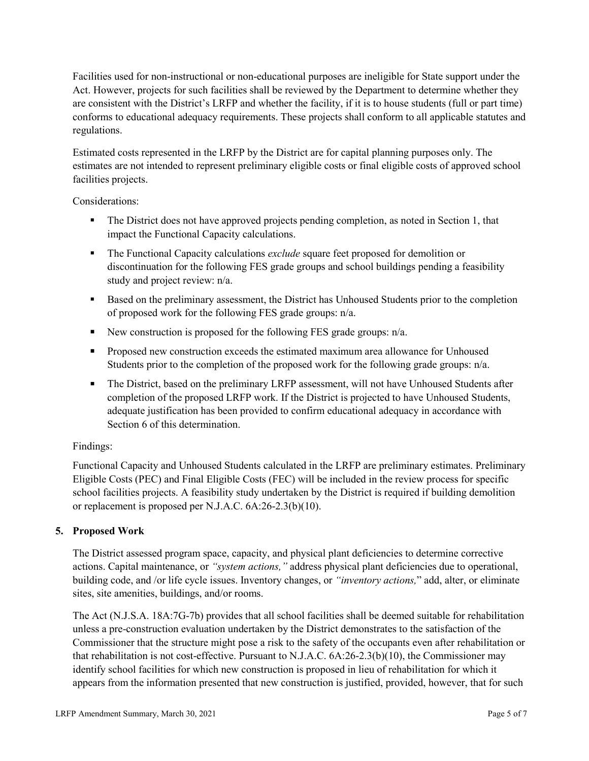Facilities used for non-instructional or non-educational purposes are ineligible for State support under the Act. However, projects for such facilities shall be reviewed by the Department to determine whether they are consistent with the District's LRFP and whether the facility, if it is to house students (full or part time) conforms to educational adequacy requirements. These projects shall conform to all applicable statutes and regulations.

Estimated costs represented in the LRFP by the District are for capital planning purposes only. The estimates are not intended to represent preliminary eligible costs or final eligible costs of approved school facilities projects.

Considerations:

- The District does not have approved projects pending completion, as noted in Section 1, that impact the Functional Capacity calculations.
- **The Functional Capacity calculations** *exclude* square feet proposed for demolition or discontinuation for the following FES grade groups and school buildings pending a feasibility study and project review: n/a.
- Based on the preliminary assessment, the District has Unhoused Students prior to the completion of proposed work for the following FES grade groups: n/a.
- New construction is proposed for the following FES grade groups: n/a.
- Proposed new construction exceeds the estimated maximum area allowance for Unhoused Students prior to the completion of the proposed work for the following grade groups: n/a.
- The District, based on the preliminary LRFP assessment, will not have Unhoused Students after completion of the proposed LRFP work. If the District is projected to have Unhoused Students, adequate justification has been provided to confirm educational adequacy in accordance with Section 6 of this determination.

# Findings:

Functional Capacity and Unhoused Students calculated in the LRFP are preliminary estimates. Preliminary Eligible Costs (PEC) and Final Eligible Costs (FEC) will be included in the review process for specific school facilities projects. A feasibility study undertaken by the District is required if building demolition or replacement is proposed per N.J.A.C. 6A:26-2.3(b)(10).

# **5. Proposed Work**

The District assessed program space, capacity, and physical plant deficiencies to determine corrective actions. Capital maintenance, or *"system actions,"* address physical plant deficiencies due to operational, building code, and /or life cycle issues. Inventory changes, or *"inventory actions,*" add, alter, or eliminate sites, site amenities, buildings, and/or rooms.

The Act (N.J.S.A. 18A:7G-7b) provides that all school facilities shall be deemed suitable for rehabilitation unless a pre-construction evaluation undertaken by the District demonstrates to the satisfaction of the Commissioner that the structure might pose a risk to the safety of the occupants even after rehabilitation or that rehabilitation is not cost-effective. Pursuant to N.J.A.C. 6A:26-2.3(b)(10), the Commissioner may identify school facilities for which new construction is proposed in lieu of rehabilitation for which it appears from the information presented that new construction is justified, provided, however, that for such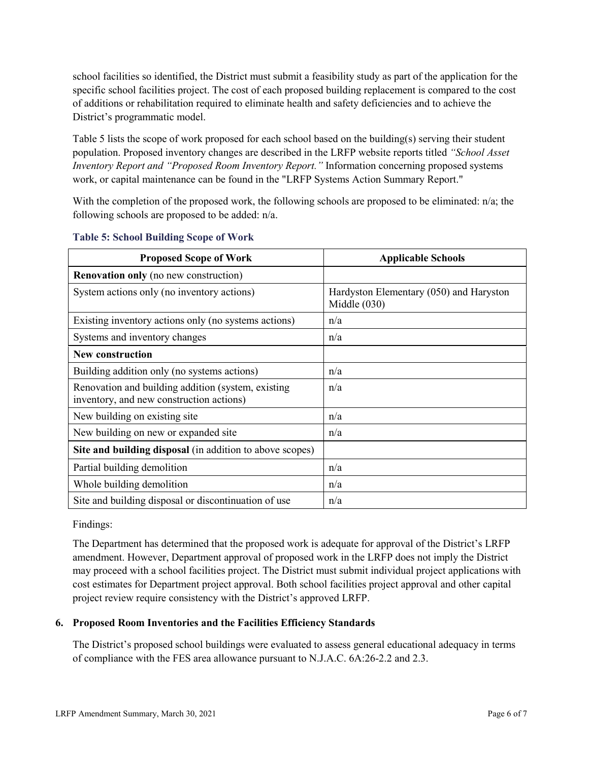school facilities so identified, the District must submit a feasibility study as part of the application for the specific school facilities project. The cost of each proposed building replacement is compared to the cost of additions or rehabilitation required to eliminate health and safety deficiencies and to achieve the District's programmatic model.

Table 5 lists the scope of work proposed for each school based on the building(s) serving their student population. Proposed inventory changes are described in the LRFP website reports titled *"School Asset Inventory Report and "Proposed Room Inventory Report."* Information concerning proposed systems work, or capital maintenance can be found in the "LRFP Systems Action Summary Report."

With the completion of the proposed work, the following schools are proposed to be eliminated:  $n/a$ ; the following schools are proposed to be added: n/a.

| <b>Proposed Scope of Work</b>                                                                  | <b>Applicable Schools</b>                                 |
|------------------------------------------------------------------------------------------------|-----------------------------------------------------------|
| <b>Renovation only</b> (no new construction)                                                   |                                                           |
| System actions only (no inventory actions)                                                     | Hardyston Elementary (050) and Haryston<br>Middle $(030)$ |
| Existing inventory actions only (no systems actions)                                           | n/a                                                       |
| Systems and inventory changes                                                                  | n/a                                                       |
| <b>New construction</b>                                                                        |                                                           |
| Building addition only (no systems actions)                                                    | n/a                                                       |
| Renovation and building addition (system, existing<br>inventory, and new construction actions) | n/a                                                       |
| New building on existing site                                                                  | n/a                                                       |
| New building on new or expanded site                                                           | n/a                                                       |
| Site and building disposal (in addition to above scopes)                                       |                                                           |
| Partial building demolition                                                                    | n/a                                                       |
| Whole building demolition                                                                      | n/a                                                       |
| Site and building disposal or discontinuation of use                                           | n/a                                                       |

### **Table 5: School Building Scope of Work**

Findings:

The Department has determined that the proposed work is adequate for approval of the District's LRFP amendment. However, Department approval of proposed work in the LRFP does not imply the District may proceed with a school facilities project. The District must submit individual project applications with cost estimates for Department project approval. Both school facilities project approval and other capital project review require consistency with the District's approved LRFP.

# **6. Proposed Room Inventories and the Facilities Efficiency Standards**

The District's proposed school buildings were evaluated to assess general educational adequacy in terms of compliance with the FES area allowance pursuant to N.J.A.C. 6A:26-2.2 and 2.3.